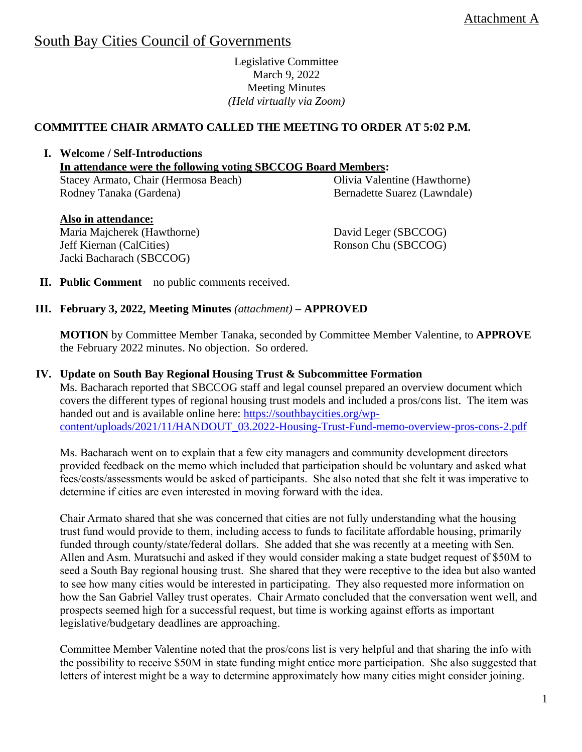# South Bay Cities Council of Governments

Legislative Committee March 9, 2022 Meeting Minutes *(Held virtually via Zoom)*

## **COMMITTEE CHAIR ARMATO CALLED THE MEETING TO ORDER AT 5:02 P.M.**

**I. Welcome / Self-Introductions In attendance were the following voting SBCCOG Board Members:**  Stacey Armato, Chair (Hermosa Beach) Rodney Tanaka (Gardena) Olivia Valentine (Hawthorne) Bernadette Suarez (Lawndale)

 **Also in attendance:** Maria Majcherek (Hawthorne) Jeff Kiernan (CalCities) Jacki Bacharach (SBCCOG)

David Leger (SBCCOG)

Ronson Chu (SBCCOG)

**II. Public Comment** – no public comments received.

# **III. February 3, 2022, Meeting Minutes** *(attachment)* **– APPROVED**

**MOTION** by Committee Member Tanaka, seconded by Committee Member Valentine, to **APPROVE** the February 2022 minutes. No objection. So ordered.

#### **IV. Update on South Bay Regional Housing Trust & Subcommittee Formation**

Ms. Bacharach reported that SBCCOG staff and legal counsel prepared an overview document which covers the different types of regional housing trust models and included a pros/cons list. The item was handed out and is available online here: [https://southbaycities.org/wp](https://southbaycities.org/wp-content/uploads/2021/11/HANDOUT_03.2022-Housing-Trust-Fund-memo-overview-pros-cons-2.pdf)[content/uploads/2021/11/HANDOUT\\_03.2022-Housing-Trust-Fund-memo-overview-pros-cons-2.pdf](https://southbaycities.org/wp-content/uploads/2021/11/HANDOUT_03.2022-Housing-Trust-Fund-memo-overview-pros-cons-2.pdf)

Ms. Bacharach went on to explain that a few city managers and community development directors provided feedback on the memo which included that participation should be voluntary and asked what fees/costs/assessments would be asked of participants. She also noted that she felt it was imperative to determine if cities are even interested in moving forward with the idea.

Chair Armato shared that she was concerned that cities are not fully understanding what the housing trust fund would provide to them, including access to funds to facilitate affordable housing, primarily funded through county/state/federal dollars. She added that she was recently at a meeting with Sen. Allen and Asm. Muratsuchi and asked if they would consider making a state budget request of \$50M to seed a South Bay regional housing trust. She shared that they were receptive to the idea but also wanted to see how many cities would be interested in participating. They also requested more information on how the San Gabriel Valley trust operates. Chair Armato concluded that the conversation went well, and prospects seemed high for a successful request, but time is working against efforts as important legislative/budgetary deadlines are approaching.

Committee Member Valentine noted that the pros/cons list is very helpful and that sharing the info with the possibility to receive \$50M in state funding might entice more participation. She also suggested that letters of interest might be a way to determine approximately how many cities might consider joining.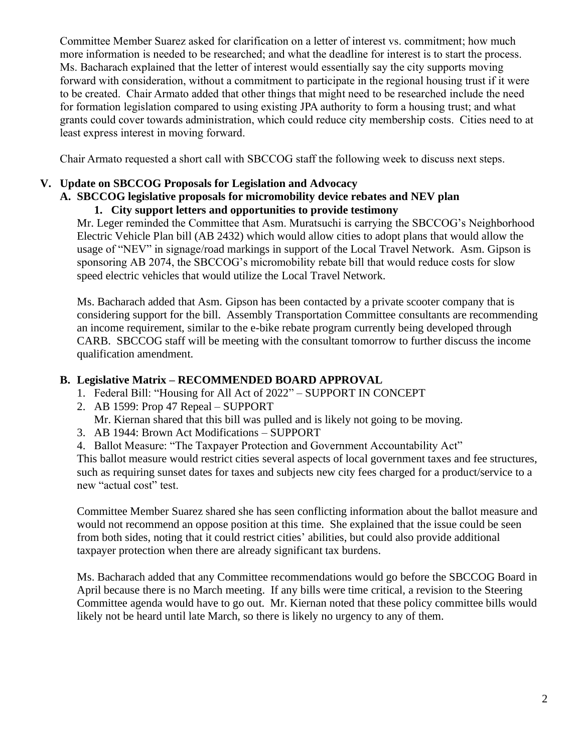Committee Member Suarez asked for clarification on a letter of interest vs. commitment; how much more information is needed to be researched; and what the deadline for interest is to start the process. Ms. Bacharach explained that the letter of interest would essentially say the city supports moving forward with consideration, without a commitment to participate in the regional housing trust if it were to be created. Chair Armato added that other things that might need to be researched include the need for formation legislation compared to using existing JPA authority to form a housing trust; and what grants could cover towards administration, which could reduce city membership costs. Cities need to at least express interest in moving forward.

Chair Armato requested a short call with SBCCOG staff the following week to discuss next steps.

## **V. Update on SBCCOG Proposals for Legislation and Advocacy**

# **A. SBCCOG legislative proposals for micromobility device rebates and NEV plan**

## **1. City support letters and opportunities to provide testimony**

Mr. Leger reminded the Committee that Asm. Muratsuchi is carrying the SBCCOG's Neighborhood Electric Vehicle Plan bill (AB 2432) which would allow cities to adopt plans that would allow the usage of "NEV" in signage/road markings in support of the Local Travel Network. Asm. Gipson is sponsoring AB 2074, the SBCCOG's micromobility rebate bill that would reduce costs for slow speed electric vehicles that would utilize the Local Travel Network.

Ms. Bacharach added that Asm. Gipson has been contacted by a private scooter company that is considering support for the bill. Assembly Transportation Committee consultants are recommending an income requirement, similar to the e-bike rebate program currently being developed through CARB. SBCCOG staff will be meeting with the consultant tomorrow to further discuss the income qualification amendment.

#### **B. Legislative Matrix – RECOMMENDED BOARD APPROVAL**

- 1. Federal Bill: "Housing for All Act of 2022" SUPPORT IN CONCEPT
- 2. AB 1599: Prop 47 Repeal SUPPORT Mr. Kiernan shared that this bill was pulled and is likely not going to be moving.
- 3. AB 1944: Brown Act Modifications SUPPORT
- 4. Ballot Measure: "The Taxpayer Protection and Government Accountability Act"

This ballot measure would restrict cities several aspects of local government taxes and fee structures, such as requiring sunset dates for taxes and subjects new city fees charged for a product/service to a new "actual cost" test.

Committee Member Suarez shared she has seen conflicting information about the ballot measure and would not recommend an oppose position at this time. She explained that the issue could be seen from both sides, noting that it could restrict cities' abilities, but could also provide additional taxpayer protection when there are already significant tax burdens.

Ms. Bacharach added that any Committee recommendations would go before the SBCCOG Board in April because there is no March meeting. If any bills were time critical, a revision to the Steering Committee agenda would have to go out. Mr. Kiernan noted that these policy committee bills would likely not be heard until late March, so there is likely no urgency to any of them.